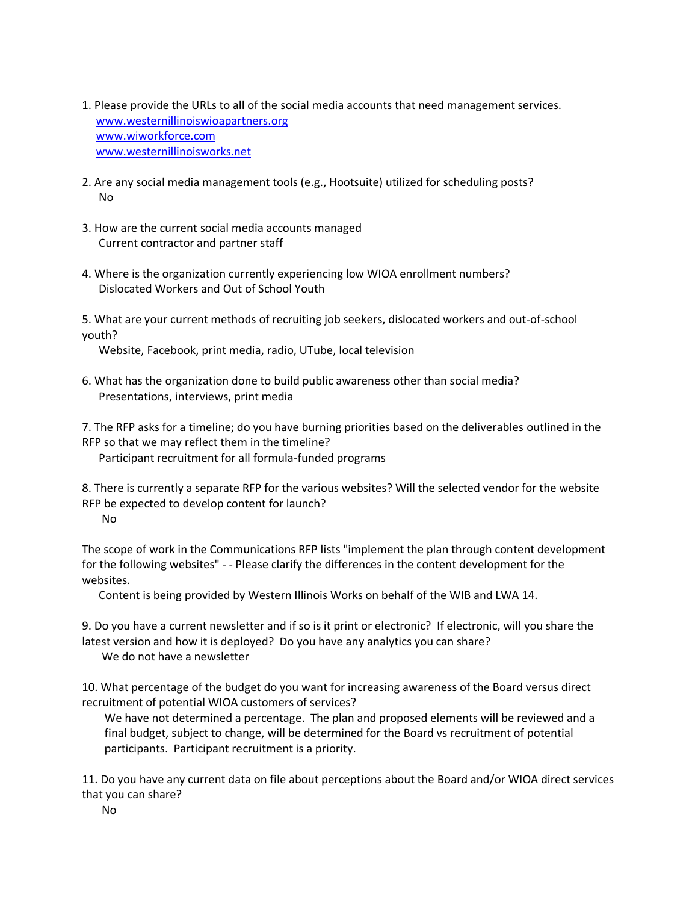- 1. Please provide the URLs to all of the social media accounts that need management services. [www.westernillinoiswioapartners.org](http://www.westernillinoiswioapartners.org/) [www.wiworkforce.com](http://www.wiworkforce.com/) [www.westernillinoisworks.net](http://www.westernillinoisworks.net/)
- 2. Are any social media management tools (e.g., Hootsuite) utilized for scheduling posts? No
- 3. How are the current social media accounts managed Current contractor and partner staff
- 4. Where is the organization currently experiencing low WIOA enrollment numbers? Dislocated Workers and Out of School Youth

5. What are your current methods of recruiting job seekers, dislocated workers and out-of-school youth?

Website, Facebook, print media, radio, UTube, local television

6. What has the organization done to build public awareness other than social media? Presentations, interviews, print media

7. The RFP asks for a timeline; do you have burning priorities based on the deliverables outlined in the RFP so that we may reflect them in the timeline?

Participant recruitment for all formula-funded programs

8. There is currently a separate RFP for the various websites? Will the selected vendor for the website RFP be expected to develop content for launch? No

The scope of work in the Communications RFP lists "implement the plan through content development for the following websites" - - Please clarify the differences in the content development for the websites.

Content is being provided by Western Illinois Works on behalf of the WIB and LWA 14.

9. Do you have a current newsletter and if so is it print or electronic? If electronic, will you share the latest version and how it is deployed? Do you have any analytics you can share?

We do not have a newsletter

10. What percentage of the budget do you want for increasing awareness of the Board versus direct recruitment of potential WIOA customers of services?

 We have not determined a percentage. The plan and proposed elements will be reviewed and a final budget, subject to change, will be determined for the Board vs recruitment of potential participants. Participant recruitment is a priority.

11. Do you have any current data on file about perceptions about the Board and/or WIOA direct services that you can share?

No